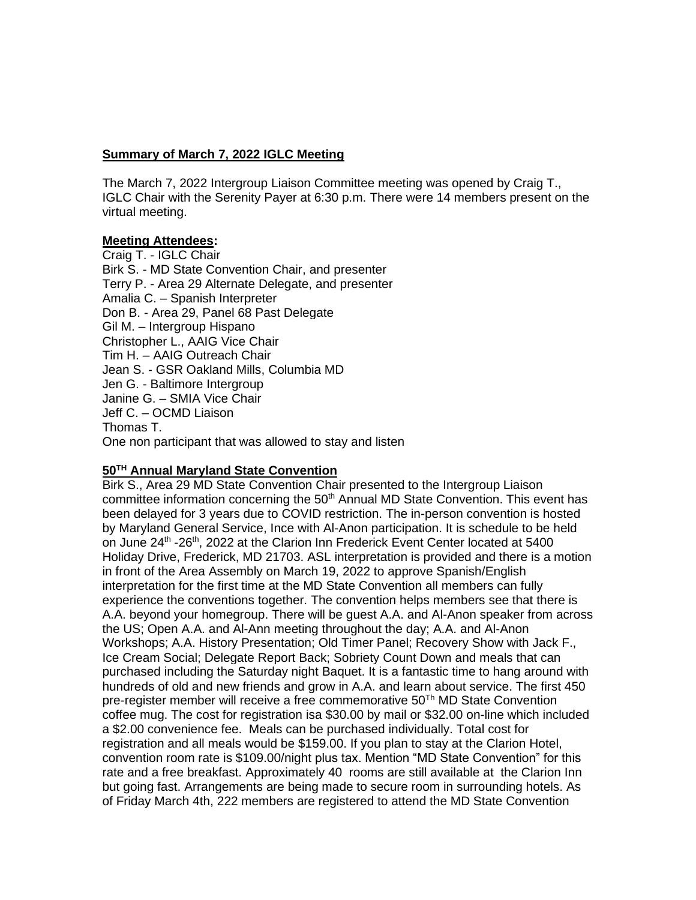## **Summary of March 7, 2022 IGLC Meeting**

The March 7, 2022 Intergroup Liaison Committee meeting was opened by Craig T., IGLC Chair with the Serenity Payer at 6:30 p.m. There were 14 members present on the virtual meeting.

#### **Meeting Attendees:**

Craig T. - IGLC Chair Birk S. - MD State Convention Chair, and presenter Terry P. - Area 29 Alternate Delegate, and presenter Amalia C. – Spanish Interpreter Don B. - Area 29, Panel 68 Past Delegate Gil M. – Intergroup Hispano Christopher L., AAIG Vice Chair Tim H. – AAIG Outreach Chair Jean S. - GSR Oakland Mills, Columbia MD Jen G. - Baltimore Intergroup Janine G. – SMIA Vice Chair Jeff C. – OCMD Liaison Thomas T. One non participant that was allowed to stay and listen

# **50TH Annual Maryland State Convention**

Birk S., Area 29 MD State Convention Chair presented to the Intergroup Liaison committee information concerning the  $50<sup>th</sup>$  Annual MD State Convention. This event has been delayed for 3 years due to COVID restriction. The in-person convention is hosted by Maryland General Service, Ince with Al-Anon participation. It is schedule to be held on June 24<sup>th</sup> -26<sup>th</sup>, 2022 at the Clarion Inn Frederick Event Center located at 5400 Holiday Drive, Frederick, MD 21703. ASL interpretation is provided and there is a motion in front of the Area Assembly on March 19, 2022 to approve Spanish/English interpretation for the first time at the MD State Convention all members can fully experience the conventions together. The convention helps members see that there is A.A. beyond your homegroup. There will be guest A.A. and Al-Anon speaker from across the US; Open A.A. and Al-Ann meeting throughout the day; A.A. and Al-Anon Workshops; A.A. History Presentation; Old Timer Panel; Recovery Show with Jack F., Ice Cream Social; Delegate Report Back; Sobriety Count Down and meals that can purchased including the Saturday night Baquet. It is a fantastic time to hang around with hundreds of old and new friends and grow in A.A. and learn about service. The first 450 pre-register member will receive a free commemorative 50<sup>Th</sup> MD State Convention coffee mug. The cost for registration isa \$30.00 by mail or \$32.00 on-line which included a \$2.00 convenience fee. Meals can be purchased individually. Total cost for registration and all meals would be \$159.00. If you plan to stay at the Clarion Hotel, convention room rate is \$109.00/night plus tax. Mention "MD State Convention" for this rate and a free breakfast. Approximately 40 rooms are still available at the Clarion Inn but going fast. Arrangements are being made to secure room in surrounding hotels. As of Friday March 4th, 222 members are registered to attend the MD State Convention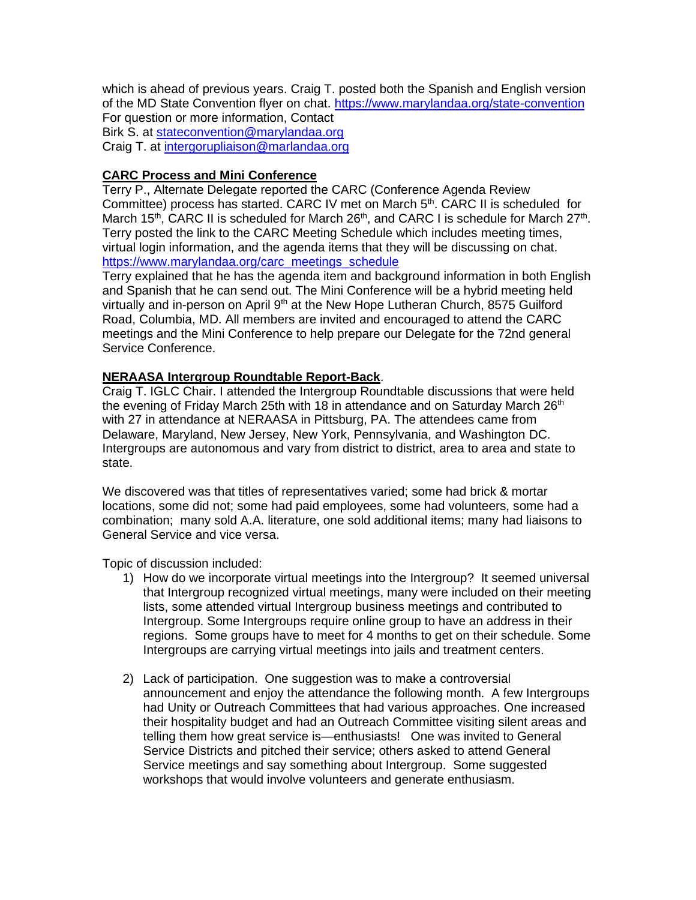which is ahead of previous years. Craig T. posted both the Spanish and English version of the MD State Convention flyer on chat.<https://www.marylandaa.org/state-convention> For question or more information, Contact Birk S. at [stateconvention@marylandaa.org](mailto:stateconvention@marylandaa.org) Craig T. at [intergorupliaison@marlandaa.org](mailto:intergorupliaison@marlandaa.org)

## **CARC Process and Mini Conference**

Terry P., Alternate Delegate reported the CARC (Conference Agenda Review Committee) process has started. CARC IV met on March  $5<sup>th</sup>$ . CARC II is scheduled for March 15<sup>th</sup>, CARC II is scheduled for March 26<sup>th</sup>, and CARC I is schedule for March 27<sup>th</sup>. Terry posted the link to the CARC Meeting Schedule which includes meeting times, virtual login information, and the agenda items that they will be discussing on chat. [https://www.marylandaa.org/carc\\_meetings\\_schedule](https://www.marylandaa.org/carc_meetings_schedule)

Terry explained that he has the agenda item and background information in both English and Spanish that he can send out. The Mini Conference will be a hybrid meeting held virtually and in-person on April  $9<sup>th</sup>$  at the New Hope Lutheran Church, 8575 Guilford Road, Columbia, MD. All members are invited and encouraged to attend the CARC meetings and the Mini Conference to help prepare our Delegate for the 72nd general Service Conference.

## **NERAASA Intergroup Roundtable Report-Back**.

Craig T. IGLC Chair. I attended the Intergroup Roundtable discussions that were held the evening of Friday March 25th with 18 in attendance and on Saturday March  $26<sup>th</sup>$ with 27 in attendance at NERAASA in Pittsburg, PA. The attendees came from Delaware, Maryland, New Jersey, New York, Pennsylvania, and Washington DC. Intergroups are autonomous and vary from district to district, area to area and state to state.

We discovered was that titles of representatives varied; some had brick & mortar locations, some did not; some had paid employees, some had volunteers, some had a combination; many sold A.A. literature, one sold additional items; many had liaisons to General Service and vice versa.

Topic of discussion included:

- 1) How do we incorporate virtual meetings into the Intergroup? It seemed universal that Intergroup recognized virtual meetings, many were included on their meeting lists, some attended virtual Intergroup business meetings and contributed to Intergroup. Some Intergroups require online group to have an address in their regions. Some groups have to meet for 4 months to get on their schedule. Some Intergroups are carrying virtual meetings into jails and treatment centers.
- 2) Lack of participation. One suggestion was to make a controversial announcement and enjoy the attendance the following month. A few Intergroups had Unity or Outreach Committees that had various approaches. One increased their hospitality budget and had an Outreach Committee visiting silent areas and telling them how great service is—enthusiasts! One was invited to General Service Districts and pitched their service; others asked to attend General Service meetings and say something about Intergroup. Some suggested workshops that would involve volunteers and generate enthusiasm.